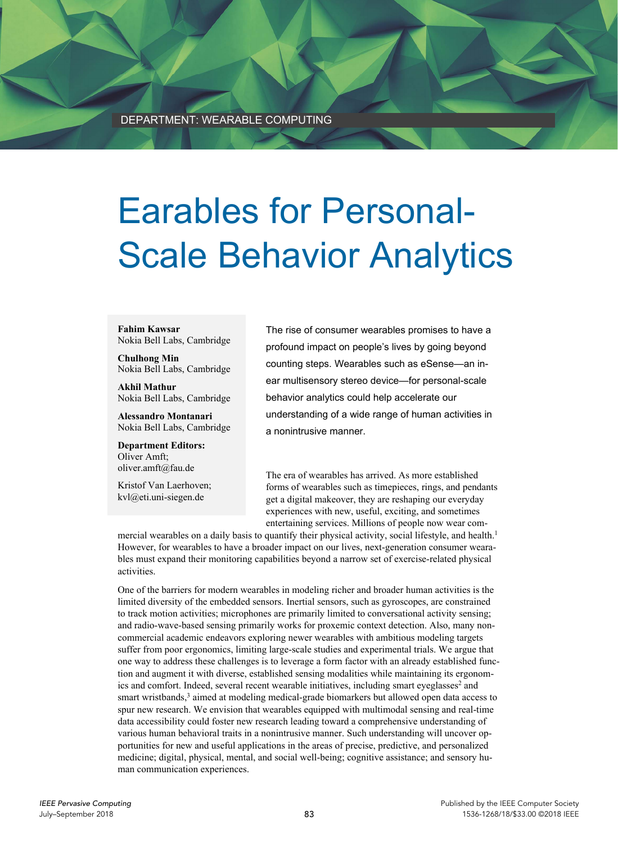# Earables for Personal-Scale Behavior Analytics

**Fahim Kawsar**  Nokia Bell Labs, Cambridge

**Chulhong Min**  Nokia Bell Labs, Cambridge

**Akhil Mathur**  Nokia Bell Labs, Cambridge

**Alessandro Montanari**  Nokia Bell Labs, Cambridge

**Department Editors:**  Oliver Amft; oliver.amft@fau.de

Kristof Van Laerhoven; kvl@eti.uni-siegen.de

The rise of consumer wearables promises to have a profound impact on people's lives by going beyond counting steps. Wearables such as eSense—an inear multisensory stereo device—for personal-scale behavior analytics could help accelerate our understanding of a wide range of human activities in a nonintrusive manner.

The era of wearables has arrived. As more established forms of wearables such as timepieces, rings, and pendants get a digital makeover, they are reshaping our everyday experiences with new, useful, exciting, and sometimes entertaining services. Millions of people now wear com-

mercial wearables on a daily basis to quantify their physical activity, social lifestyle, and health.<sup>1</sup> However, for wearables to have a broader impact on our lives, next-generation consumer wearables must expand their monitoring capabilities beyond a narrow set of exercise-related physical activities.

One of the barriers for modern wearables in modeling richer and broader human activities is the limited diversity of the embedded sensors. Inertial sensors, such as gyroscopes, are constrained to track motion activities; microphones are primarily limited to conversational activity sensing; and radio-wave-based sensing primarily works for proxemic context detection. Also, many noncommercial academic endeavors exploring newer wearables with ambitious modeling targets suffer from poor ergonomics, limiting large-scale studies and experimental trials. We argue that one way to address these challenges is to leverage a form factor with an already established function and augment it with diverse, established sensing modalities while maintaining its ergonomics and comfort. Indeed, several recent wearable initiatives, including smart eyeglasses<sup>2</sup> and smart wristbands,<sup>3</sup> aimed at modeling medical-grade biomarkers but allowed open data access to spur new research. We envision that wearables equipped with multimodal sensing and real-time data accessibility could foster new research leading toward a comprehensive understanding of various human behavioral traits in a nonintrusive manner. Such understanding will uncover opportunities for new and useful applications in the areas of precise, predictive, and personalized medicine; digital, physical, mental, and social well-being; cognitive assistance; and sensory human communication experiences.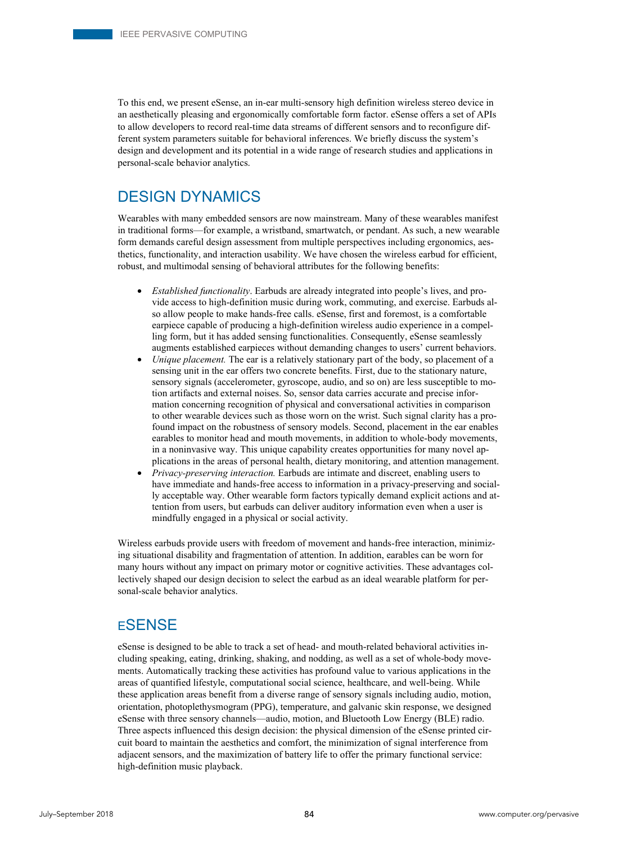To this end, we present eSense, an in-ear multi-sensory high definition wireless stereo device in an aesthetically pleasing and ergonomically comfortable form factor. eSense offers a set of APIs to allow developers to record real-time data streams of different sensors and to reconfigure different system parameters suitable for behavioral inferences. We briefly discuss the system's design and development and its potential in a wide range of research studies and applications in personal-scale behavior analytics.

# DESIGN DYNAMICS

Wearables with many embedded sensors are now mainstream. Many of these wearables manifest in traditional forms—for example, a wristband, smartwatch, or pendant. As such, a new wearable form demands careful design assessment from multiple perspectives including ergonomics, aesthetics, functionality, and interaction usability. We have chosen the wireless earbud for efficient, robust, and multimodal sensing of behavioral attributes for the following benefits:

- *Established functionality*. Earbuds are already integrated into people's lives, and provide access to high-definition music during work, commuting, and exercise. Earbuds also allow people to make hands-free calls. eSense, first and foremost, is a comfortable earpiece capable of producing a high-definition wireless audio experience in a compelling form, but it has added sensing functionalities. Consequently, eSense seamlessly augments established earpieces without demanding changes to users' current behaviors.
- *Unique placement.* The ear is a relatively stationary part of the body, so placement of a sensing unit in the ear offers two concrete benefits. First, due to the stationary nature, sensory signals (accelerometer, gyroscope, audio, and so on) are less susceptible to motion artifacts and external noises. So, sensor data carries accurate and precise information concerning recognition of physical and conversational activities in comparison to other wearable devices such as those worn on the wrist. Such signal clarity has a profound impact on the robustness of sensory models. Second, placement in the ear enables earables to monitor head and mouth movements, in addition to whole-body movements, in a noninvasive way. This unique capability creates opportunities for many novel applications in the areas of personal health, dietary monitoring, and attention management.
- *Privacy-preserving interaction.* Earbuds are intimate and discreet, enabling users to have immediate and hands-free access to information in a privacy-preserving and socially acceptable way. Other wearable form factors typically demand explicit actions and attention from users, but earbuds can deliver auditory information even when a user is mindfully engaged in a physical or social activity.

Wireless earbuds provide users with freedom of movement and hands-free interaction, minimizing situational disability and fragmentation of attention. In addition, earables can be worn for many hours without any impact on primary motor or cognitive activities. These advantages collectively shaped our design decision to select the earbud as an ideal wearable platform for personal-scale behavior analytics.

#### **ESENSE**

eSense is designed to be able to track a set of head- and mouth-related behavioral activities including speaking, eating, drinking, shaking, and nodding, as well as a set of whole-body movements. Automatically tracking these activities has profound value to various applications in the areas of quantified lifestyle, computational social science, healthcare, and well-being. While these application areas benefit from a diverse range of sensory signals including audio, motion, orientation, photoplethysmogram (PPG), temperature, and galvanic skin response, we designed eSense with three sensory channels—audio, motion, and Bluetooth Low Energy (BLE) radio. Three aspects influenced this design decision: the physical dimension of the eSense printed circuit board to maintain the aesthetics and comfort, the minimization of signal interference from adjacent sensors, and the maximization of battery life to offer the primary functional service: high-definition music playback.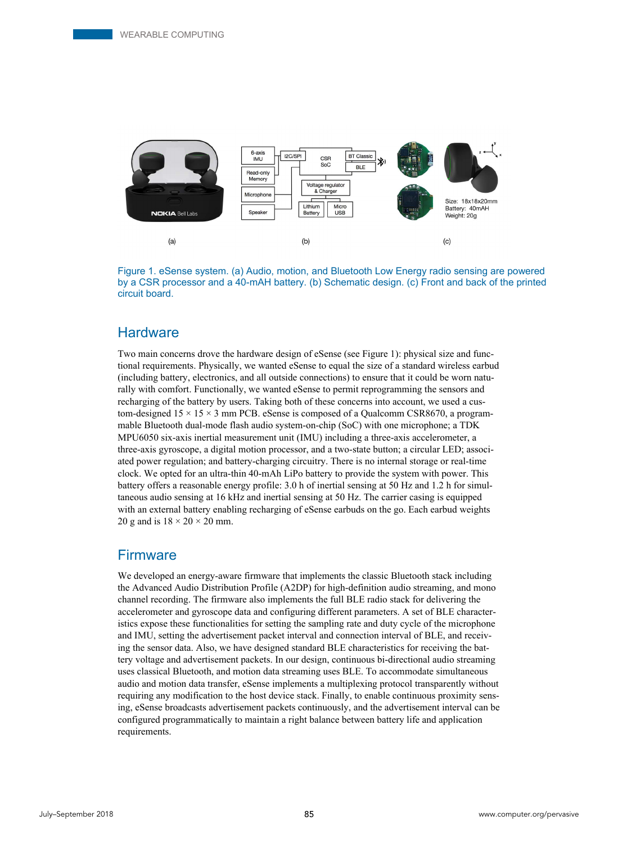

Figure 1. eSense system. (a) Audio, motion, and Bluetooth Low Energy radio sensing are powered by a CSR processor and a 40-mAH battery. (b) Schematic design. (c) Front and back of the printed circuit board.

#### **Hardware**

Two main concerns drove the hardware design of eSense (see Figure 1): physical size and functional requirements. Physically, we wanted eSense to equal the size of a standard wireless earbud (including battery, electronics, and all outside connections) to ensure that it could be worn naturally with comfort. Functionally, we wanted eSense to permit reprogramming the sensors and recharging of the battery by users. Taking both of these concerns into account, we used a custom-designed  $15 \times 15 \times 3$  mm PCB. eSense is composed of a Qualcomm CSR8670, a programmable Bluetooth dual-mode flash audio system-on-chip (SoC) with one microphone; a TDK MPU6050 six-axis inertial measurement unit (IMU) including a three-axis accelerometer, a three-axis gyroscope, a digital motion processor, and a two-state button; a circular LED; associated power regulation; and battery-charging circuitry. There is no internal storage or real-time clock. We opted for an ultra-thin 40-mAh LiPo battery to provide the system with power. This battery offers a reasonable energy profile: 3.0 h of inertial sensing at 50 Hz and 1.2 h for simultaneous audio sensing at 16 kHz and inertial sensing at 50 Hz. The carrier casing is equipped with an external battery enabling recharging of eSense earbuds on the go. Each earbud weights 20 g and is  $18 \times 20 \times 20$  mm.

#### **Firmware**

We developed an energy-aware firmware that implements the classic Bluetooth stack including the Advanced Audio Distribution Profile (A2DP) for high-definition audio streaming, and mono channel recording. The firmware also implements the full BLE radio stack for delivering the accelerometer and gyroscope data and configuring different parameters. A set of BLE characteristics expose these functionalities for setting the sampling rate and duty cycle of the microphone and IMU, setting the advertisement packet interval and connection interval of BLE, and receiving the sensor data. Also, we have designed standard BLE characteristics for receiving the battery voltage and advertisement packets. In our design, continuous bi-directional audio streaming uses classical Bluetooth, and motion data streaming uses BLE. To accommodate simultaneous audio and motion data transfer, eSense implements a multiplexing protocol transparently without requiring any modification to the host device stack. Finally, to enable continuous proximity sensing, eSense broadcasts advertisement packets continuously, and the advertisement interval can be configured programmatically to maintain a right balance between battery life and application requirements.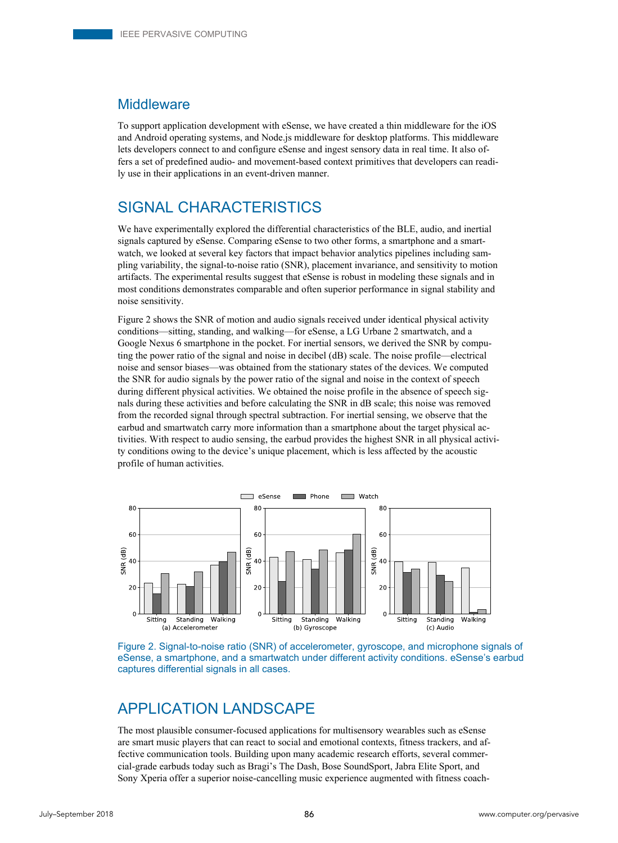#### **Middleware**

To support application development with eSense, we have created a thin middleware for the iOS and Android operating systems, and Node.js middleware for desktop platforms. This middleware lets developers connect to and configure eSense and ingest sensory data in real time. It also offers a set of predefined audio- and movement-based context primitives that developers can readily use in their applications in an event-driven manner.

# SIGNAL CHARACTERISTICS

We have experimentally explored the differential characteristics of the BLE, audio, and inertial signals captured by eSense. Comparing eSense to two other forms, a smartphone and a smartwatch, we looked at several key factors that impact behavior analytics pipelines including sampling variability, the signal-to-noise ratio (SNR), placement invariance, and sensitivity to motion artifacts. The experimental results suggest that eSense is robust in modeling these signals and in most conditions demonstrates comparable and often superior performance in signal stability and noise sensitivity.

Figure 2 shows the SNR of motion and audio signals received under identical physical activity conditions—sitting, standing, and walking—for eSense, a LG Urbane 2 smartwatch, and a Google Nexus 6 smartphone in the pocket. For inertial sensors, we derived the SNR by computing the power ratio of the signal and noise in decibel (dB) scale. The noise profile—electrical noise and sensor biases—was obtained from the stationary states of the devices. We computed the SNR for audio signals by the power ratio of the signal and noise in the context of speech during different physical activities. We obtained the noise profile in the absence of speech signals during these activities and before calculating the SNR in dB scale; this noise was removed from the recorded signal through spectral subtraction. For inertial sensing, we observe that the earbud and smartwatch carry more information than a smartphone about the target physical activities. With respect to audio sensing, the earbud provides the highest SNR in all physical activity conditions owing to the device's unique placement, which is less affected by the acoustic profile of human activities.





# APPLICATION LANDSCAPE

The most plausible consumer-focused applications for multisensory wearables such as eSense are smart music players that can react to social and emotional contexts, fitness trackers, and affective communication tools. Building upon many academic research efforts, several commercial-grade earbuds today such as Bragi's The Dash, Bose SoundSport, Jabra Elite Sport, and Sony Xperia offer a superior noise-cancelling music experience augmented with fitness coach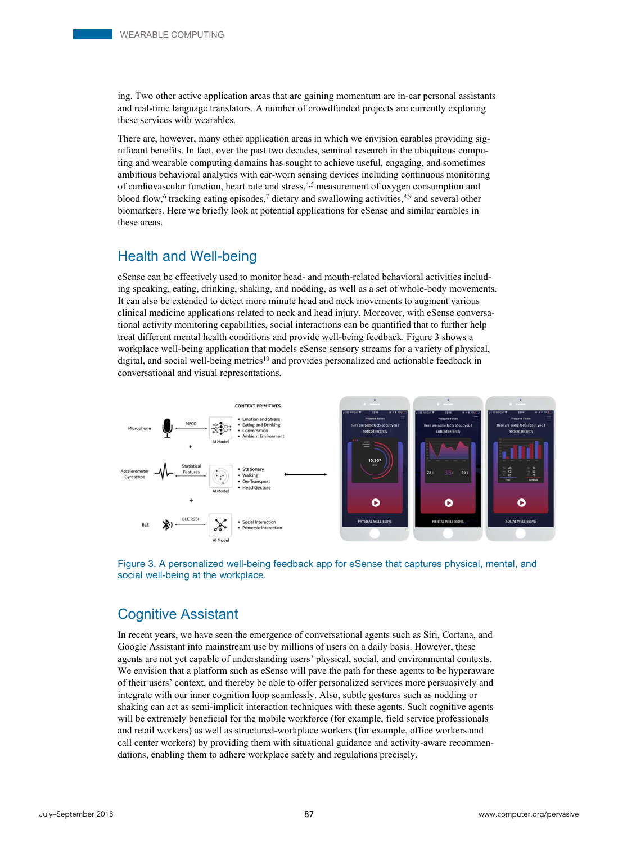ing. Two other active application areas that are gaining momentum are in-ear personal assistants and real-time language translators. A number of crowdfunded projects are currently exploring these services with wearables.

There are, however, many other application areas in which we envision earables providing significant benefits. In fact, over the past two decades, seminal research in the ubiquitous computing and wearable computing domains has sought to achieve useful, engaging, and sometimes ambitious behavioral analytics with ear-worn sensing devices including continuous monitoring of cardiovascular function, heart rate and stress,  $4.5$  measurement of oxygen consumption and blood flow,<sup>6</sup> tracking eating episodes,<sup>7</sup> dietary and swallowing activities,<sup>8,9</sup> and several other biomarkers. Here we briefly look at potential applications for eSense and similar earables in these areas.

#### Health and Well-being

eSense can be effectively used to monitor head- and mouth-related behavioral activities including speaking, eating, drinking, shaking, and nodding, as well as a set of whole-body movements. It can also be extended to detect more minute head and neck movements to augment various clinical medicine applications related to neck and head injury. Moreover, with eSense conversational activity monitoring capabilities, social interactions can be quantified that to further help treat different mental health conditions and provide well-being feedback. Figure 3 shows a workplace well-being application that models eSense sensory streams for a variety of physical, digital, and social well-being metrics<sup>10</sup> and provides personalized and actionable feedback in conversational and visual representations.





## Cognitive Assistant

In recent years, we have seen the emergence of conversational agents such as Siri, Cortana, and Google Assistant into mainstream use by millions of users on a daily basis. However, these agents are not yet capable of understanding users' physical, social, and environmental contexts. We envision that a platform such as eSense will pave the path for these agents to be hyperaware of their users' context, and thereby be able to offer personalized services more persuasively and integrate with our inner cognition loop seamlessly. Also, subtle gestures such as nodding or shaking can act as semi-implicit interaction techniques with these agents. Such cognitive agents will be extremely beneficial for the mobile workforce (for example, field service professionals and retail workers) as well as structured-workplace workers (for example, office workers and call center workers) by providing them with situational guidance and activity-aware recommendations, enabling them to adhere workplace safety and regulations precisely.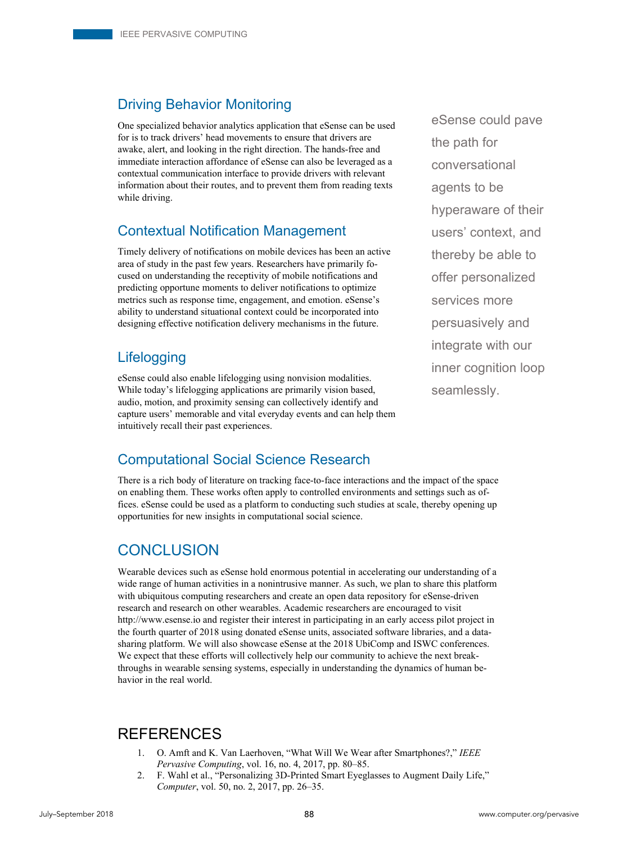### Driving Behavior Monitoring

One specialized behavior analytics application that eSense can be used for is to track drivers' head movements to ensure that drivers are awake, alert, and looking in the right direction. The hands-free and immediate interaction affordance of eSense can also be leveraged as a contextual communication interface to provide drivers with relevant information about their routes, and to prevent them from reading texts while driving.

#### Contextual Notification Management

Timely delivery of notifications on mobile devices has been an active area of study in the past few years. Researchers have primarily focused on understanding the receptivity of mobile notifications and predicting opportune moments to deliver notifications to optimize metrics such as response time, engagement, and emotion. eSense's ability to understand situational context could be incorporated into designing effective notification delivery mechanisms in the future.

## **Lifelogging**

eSense could also enable lifelogging using nonvision modalities. While today's lifelogging applications are primarily vision based, audio, motion, and proximity sensing can collectively identify and capture users' memorable and vital everyday events and can help them intuitively recall their past experiences.

## Computational Social Science Research

There is a rich body of literature on tracking face-to-face interactions and the impact of the space on enabling them. These works often apply to controlled environments and settings such as offices. eSense could be used as a platform to conducting such studies at scale, thereby opening up opportunities for new insights in computational social science.

# **CONCLUSION**

Wearable devices such as eSense hold enormous potential in accelerating our understanding of a wide range of human activities in a nonintrusive manner. As such, we plan to share this platform with ubiquitous computing researchers and create an open data repository for eSense-driven research and research on other wearables. Academic researchers are encouraged to visit http://www.esense.io and register their interest in participating in an early access pilot project in the fourth quarter of 2018 using donated eSense units, associated software libraries, and a datasharing platform. We will also showcase eSense at the 2018 UbiComp and ISWC conferences. We expect that these efforts will collectively help our community to achieve the next breakthroughs in wearable sensing systems, especially in understanding the dynamics of human behavior in the real world.

#### REFERENCES

- 1. O. Amft and K. Van Laerhoven, "What Will We Wear after Smartphones?," *IEEE Pervasive Computing*, vol. 16, no. 4, 2017, pp. 80–85.
- 2. F. Wahl et al., "Personalizing 3D-Printed Smart Eyeglasses to Augment Daily Life," *Computer*, vol. 50, no. 2, 2017, pp. 26–35.

eSense could pave the path for conversational agents to be hyperaware of their users' context, and thereby be able to offer personalized services more persuasively and integrate with our inner cognition loop seamlessly.